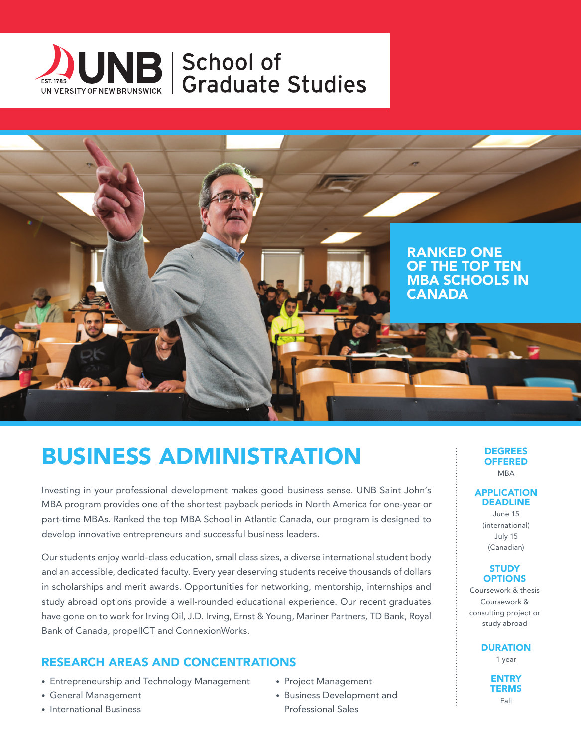



# BUSINESS ADMINISTRATION

Investing in your professional development makes good business sense. UNB Saint John's MBA program provides one of the shortest payback periods in North America for one-year or part-time MBAs. Ranked the top MBA School in Atlantic Canada, our program is designed to develop innovative entrepreneurs and successful business leaders.

Our students enjoy world-class education, small class sizes, a diverse international student body and an accessible, dedicated faculty. Every year deserving students receive thousands of dollars in scholarships and merit awards. Opportunities for networking, mentorship, internships and study abroad options provide a well-rounded educational experience. Our recent graduates have gone on to work for Irving Oil, J.D. Irving, Ernst & Young, Mariner Partners, TD Bank, Royal Bank of Canada, propelICT and ConnexionWorks.

## RESEARCH AREAS AND CONCENTRATIONS

- Entrepreneurship and Technology Management
- General Management
- International Business
- Project Management
- Business Development and Professional Sales

#### **DEGREES OFFERED** MBA

#### APPLICATION DEADLINE

June 15 (international) July 15 (Canadian)

### **STUDY OPTIONS**

Coursework & thesis Coursework & consulting project or study abroad

**DURATION** 

1 year

**ENTRY TERMS** Fall